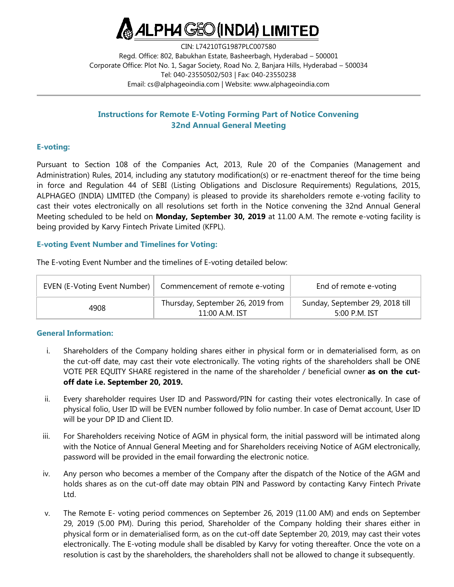

CIN: L74210TG1987PLC007580 Regd. Office: 802, Babukhan Estate, Basheerbagh, Hyderabad – 500001 Corporate Office: Plot No. 1, Sagar Society, Road No. 2, Banjara Hills, Hyderabad – 500034 Tel: 040-23550502/503 | Fax: 040-23550238 Email: [cs@alphageoindia.com](mailto:cs@alphageoindia.com) | Website: [www.alphageoindia.com](http://www.alphageoindia.com/)

# **Instructions for Remote E-Voting Forming Part of Notice Convening 32nd Annual General Meeting**

## **E-voting:**

Pursuant to Section 108 of the Companies Act, 2013, Rule 20 of the Companies (Management and Administration) Rules, 2014, including any statutory modification(s) or re-enactment thereof for the time being in force and Regulation 44 of SEBI (Listing Obligations and Disclosure Requirements) Regulations, 2015, ALPHAGEO (INDIA) LIMITED (the Company) is pleased to provide its shareholders remote e-voting facility to cast their votes electronically on all resolutions set forth in the Notice convening the 32nd Annual General Meeting scheduled to be held on **Monday, September 30, 2019** at 11.00 A.M. The remote e-voting facility is being provided by Karvy Fintech Private Limited (KFPL).

## **E-voting Event Number and Timelines for Voting:**

The E-voting Event Number and the timelines of E-voting detailed below:

| EVEN (E-Voting Event Number) | Commencement of remote e-voting                       | End of remote e-voting                             |
|------------------------------|-------------------------------------------------------|----------------------------------------------------|
| 4908                         | Thursday, September 26, 2019 from<br>$11:00$ A.M. IST | Sunday, September 29, 2018 till<br>$5:00$ P.M. IST |

### **General Information:**

- i. Shareholders of the Company holding shares either in physical form or in dematerialised form, as on the cut-off date, may cast their vote electronically. The voting rights of the shareholders shall be ONE VOTE PER EQUITY SHARE registered in the name of the shareholder / beneficial owner **as on the cutoff date i.e. September 20, 2019.**
- ii. Every shareholder requires User ID and Password/PIN for casting their votes electronically. In case of physical folio, User ID will be EVEN number followed by folio number. In case of Demat account, User ID will be your DP ID and Client ID.
- iii. For Shareholders receiving Notice of AGM in physical form, the initial password will be intimated along with the Notice of Annual General Meeting and for Shareholders receiving Notice of AGM electronically, password will be provided in the email forwarding the electronic notice.
- iv. Any person who becomes a member of the Company after the dispatch of the Notice of the AGM and holds shares as on the cut-off date may obtain PIN and Password by contacting Karvy Fintech Private Ltd.
- v. The Remote E- voting period commences on September 26, 2019 (11.00 AM) and ends on September 29, 2019 (5.00 PM). During this period, Shareholder of the Company holding their shares either in physical form or in dematerialised form, as on the cut-off date September 20, 2019, may cast their votes electronically. The E-voting module shall be disabled by Karvy for voting thereafter. Once the vote on a resolution is cast by the shareholders, the shareholders shall not be allowed to change it subsequently.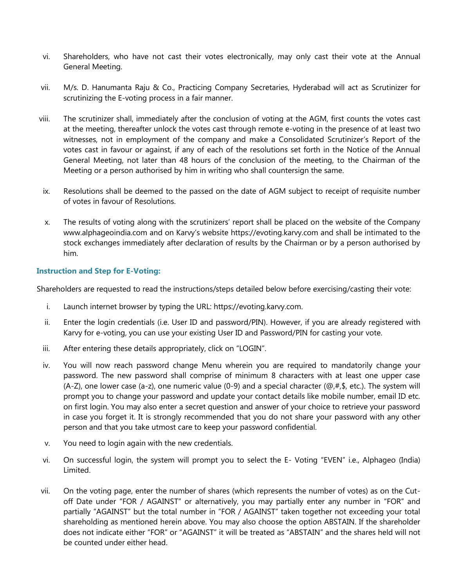- vi. Shareholders, who have not cast their votes electronically, may only cast their vote at the Annual General Meeting.
- vii. M/s. D. Hanumanta Raju & Co., Practicing Company Secretaries, Hyderabad will act as Scrutinizer for scrutinizing the E-voting process in a fair manner.
- viii. The scrutinizer shall, immediately after the conclusion of voting at the AGM, first counts the votes cast at the meeting, thereafter unlock the votes cast through remote e-voting in the presence of at least two witnesses, not in employment of the company and make a Consolidated Scrutinizer's Report of the votes cast in favour or against, if any of each of the resolutions set forth in the Notice of the Annual General Meeting, not later than 48 hours of the conclusion of the meeting, to the Chairman of the Meeting or a person authorised by him in writing who shall countersign the same.
- ix. Resolutions shall be deemed to the passed on the date of AGM subject to receipt of requisite number of votes in favour of Resolutions.
- x. The results of voting along with the scrutinizers' report shall be placed on the website of the Company www.alphageoindia.com and on Karvy's website https://evoting.karvy.com and shall be intimated to the stock exchanges immediately after declaration of results by the Chairman or by a person authorised by him.

## **Instruction and Step for E-Voting:**

Shareholders are requested to read the instructions/steps detailed below before exercising/casting their vote:

- i. Launch internet browser by typing the URL: https://evoting.karvy.com.
- ii. Enter the login credentials (i.e. User ID and password/PIN). However, if you are already registered with Karvy for e-voting, you can use your existing User ID and Password/PIN for casting your vote.
- iii. After entering these details appropriately, click on "LOGIN".
- iv. You will now reach password change Menu wherein you are required to mandatorily change your password. The new password shall comprise of minimum 8 characters with at least one upper case (A-Z), one lower case (a-z), one numeric value (0-9) and a special character ( $\omega$ ,#,\$, etc.). The system will prompt you to change your password and update your contact details like mobile number, email ID etc. on first login. You may also enter a secret question and answer of your choice to retrieve your password in case you forget it. It is strongly recommended that you do not share your password with any other person and that you take utmost care to keep your password confidential.
- v. You need to login again with the new credentials.
- vi. On successful login, the system will prompt you to select the E- Voting "EVEN" i.e., Alphageo (India) Limited.
- vii. On the voting page, enter the number of shares (which represents the number of votes) as on the Cutoff Date under "FOR / AGAINST" or alternatively, you may partially enter any number in "FOR" and partially "AGAINST" but the total number in "FOR / AGAINST" taken together not exceeding your total shareholding as mentioned herein above. You may also choose the option ABSTAIN. If the shareholder does not indicate either "FOR" or "AGAINST" it will be treated as "ABSTAIN" and the shares held will not be counted under either head.